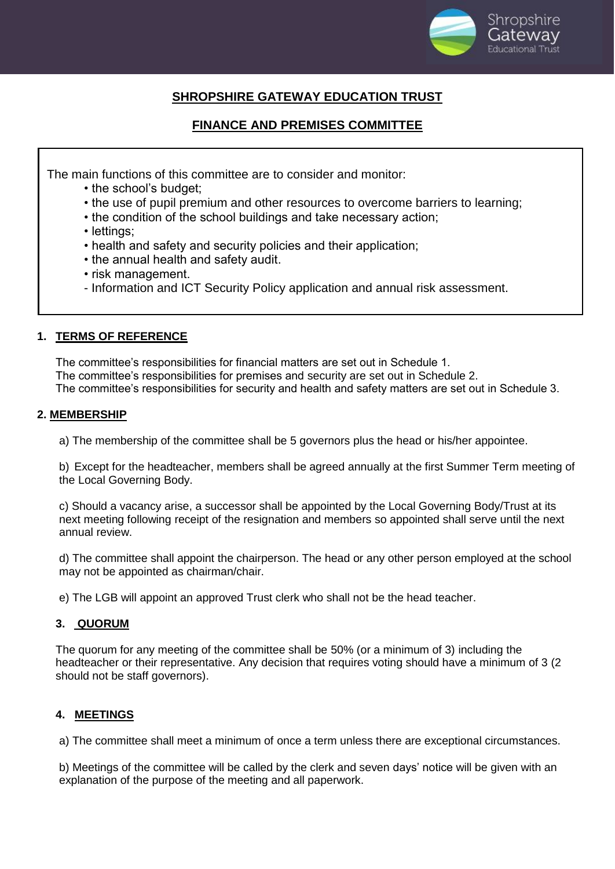

# **SHROPSHIRE GATEWAY EDUCATION TRUST**

# **FINANCE AND PREMISES COMMITTEE**

The main functions of this committee are to consider and monitor:

- the school's budget;
- the use of pupil premium and other resources to overcome barriers to learning;
- the condition of the school buildings and take necessary action;
- lettings;
- health and safety and security policies and their application;
- the annual health and safety audit.
- risk management.
- Information and ICT Security Policy application and annual risk assessment.

## **1. TERMS OF REFERENCE**

The committee's responsibilities for financial matters are set out in Schedule 1. The committee's responsibilities for premises and security are set out in Schedule 2. The committee's responsibilities for security and health and safety matters are set out in Schedule 3.

## **2. MEMBERSHIP**

a) The membership of the committee shall be 5 governors plus the head or his/her appointee.

b) Except for the headteacher, members shall be agreed annually at the first Summer Term meeting of the Local Governing Body.

c) Should a vacancy arise, a successor shall be appointed by the Local Governing Body/Trust at its next meeting following receipt of the resignation and members so appointed shall serve until the next annual review.

d) The committee shall appoint the chairperson. The head or any other person employed at the school may not be appointed as chairman/chair.

e) The LGB will appoint an approved Trust clerk who shall not be the head teacher.

## **3. QUORUM**

The quorum for any meeting of the committee shall be 50% (or a minimum of 3) including the headteacher or their representative. Any decision that requires voting should have a minimum of 3 (2 should not be staff governors).

# **4. MEETINGS**

a) The committee shall meet a minimum of once a term unless there are exceptional circumstances.

b) Meetings of the committee will be called by the clerk and seven days' notice will be given with an explanation of the purpose of the meeting and all paperwork.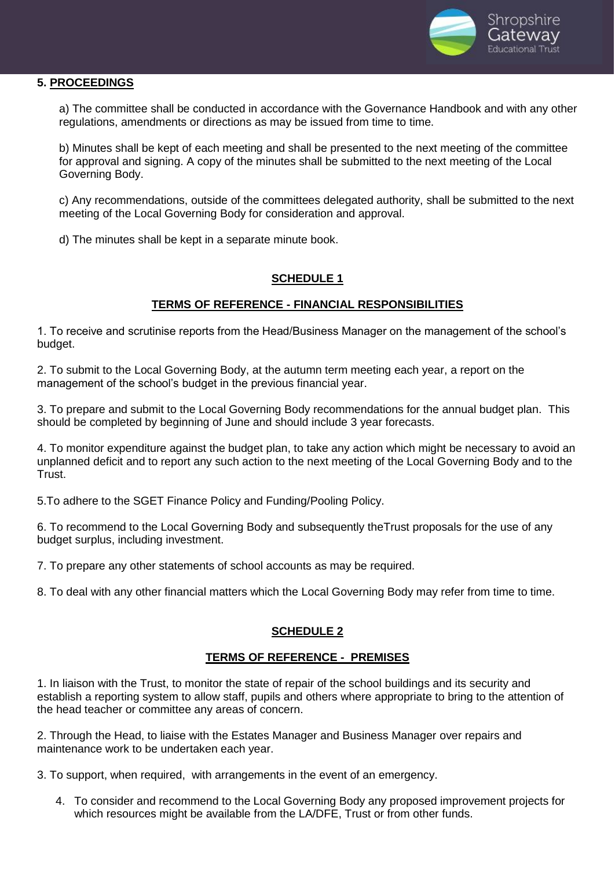

#### **5. PROCEEDINGS**

a) The committee shall be conducted in accordance with the Governance Handbook and with any other regulations, amendments or directions as may be issued from time to time.

b) Minutes shall be kept of each meeting and shall be presented to the next meeting of the committee for approval and signing. A copy of the minutes shall be submitted to the next meeting of the Local Governing Body.

c) Any recommendations, outside of the committees delegated authority, shall be submitted to the next meeting of the Local Governing Body for consideration and approval.

d) The minutes shall be kept in a separate minute book.

# **SCHEDULE 1**

## **TERMS OF REFERENCE - FINANCIAL RESPONSIBILITIES**

1. To receive and scrutinise reports from the Head/Business Manager on the management of the school's budget.

2. To submit to the Local Governing Body, at the autumn term meeting each year, a report on the management of the school's budget in the previous financial year.

3. To prepare and submit to the Local Governing Body recommendations for the annual budget plan. This should be completed by beginning of June and should include 3 year forecasts.

4. To monitor expenditure against the budget plan, to take any action which might be necessary to avoid an unplanned deficit and to report any such action to the next meeting of the Local Governing Body and to the Trust.

5.To adhere to the SGET Finance Policy and Funding/Pooling Policy.

6. To recommend to the Local Governing Body and subsequently theTrust proposals for the use of any budget surplus, including investment.

7. To prepare any other statements of school accounts as may be required.

8. To deal with any other financial matters which the Local Governing Body may refer from time to time.

## **SCHEDULE 2**

## **TERMS OF REFERENCE - PREMISES**

1. In liaison with the Trust, to monitor the state of repair of the school buildings and its security and establish a reporting system to allow staff, pupils and others where appropriate to bring to the attention of the head teacher or committee any areas of concern.

2. Through the Head, to liaise with the Estates Manager and Business Manager over repairs and maintenance work to be undertaken each year.

3. To support, when required, with arrangements in the event of an emergency.

4. To consider and recommend to the Local Governing Body any proposed improvement projects for which resources might be available from the LA/DFE, Trust or from other funds.